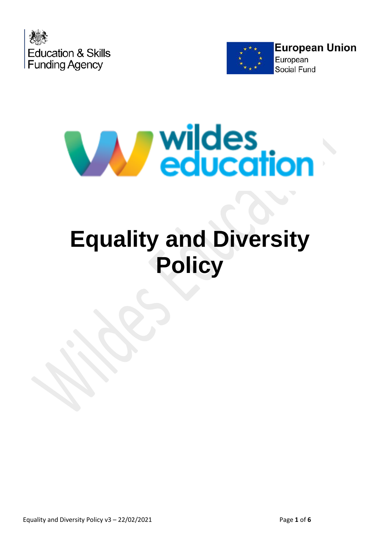





# **Equality and Diversity Policy**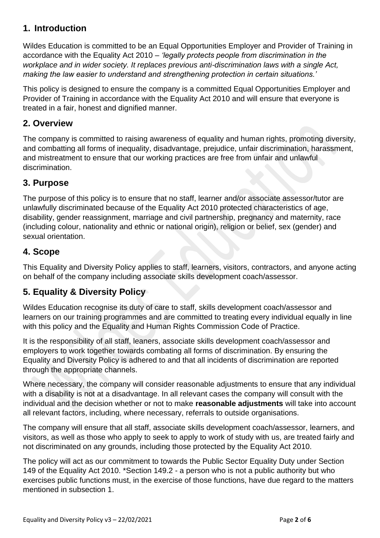## **1. Introduction**

Wildes Education is committed to be an Equal Opportunities Employer and Provider of Training in accordance with the Equality Act 2010 *– 'legally protects people from discrimination in the workplace and in wider society. It replaces previous anti-discrimination laws with a single Act, making the law easier to understand and strengthening protection in certain situations.'* 

This policy is designed to ensure the company is a committed Equal Opportunities Employer and Provider of Training in accordance with the Equality Act 2010 and will ensure that everyone is treated in a fair, honest and dignified manner.

#### **2. Overview**

The company is committed to raising awareness of equality and human rights, promoting diversity, and combatting all forms of inequality, disadvantage, prejudice, unfair discrimination, harassment, and mistreatment to ensure that our working practices are free from unfair and unlawful discrimination.

#### **3. Purpose**

The purpose of this policy is to ensure that no staff, learner and/or associate assessor/tutor are unlawfully discriminated because of the Equality Act 2010 protected characteristics of age, disability, gender reassignment, marriage and civil partnership, pregnancy and maternity, race (including colour, nationality and ethnic or national origin), religion or belief, sex (gender) and sexual orientation.

#### **4. Scope**

This Equality and Diversity Policy applies to staff, learners, visitors, contractors, and anyone acting on behalf of the company including associate skills development coach/assessor.

#### **5. Equality & Diversity Policy**

Wildes Education recognise its duty of care to staff, skills development coach/assessor and learners on our training programmes and are committed to treating every individual equally in line with this policy and the Equality and Human Rights Commission Code of Practice.

It is the responsibility of all staff, leaners, associate skills development coach/assessor and employers to work together towards combating all forms of discrimination. By ensuring the Equality and Diversity Policy is adhered to and that all incidents of discrimination are reported through the appropriate channels.

Where necessary, the company will consider reasonable adjustments to ensure that any individual with a disability is not at a disadvantage. In all relevant cases the company will consult with the individual and the decision whether or not to make **reasonable adjustments** will take into account all relevant factors, including, where necessary, referrals to outside organisations.

The company will ensure that all staff, associate skills development coach/assessor, learners, and visitors, as well as those who apply to seek to apply to work of study with us, are treated fairly and not discriminated on any grounds, including those protected by the Equality Act 2010.

The policy will act as our commitment to towards the Public Sector Equality Duty under Section 149 of the Equality Act 2010. \*Section 149.2 - a person who is not a public authority but who exercises public functions must, in the exercise of those functions, have due regard to the matters mentioned in subsection 1.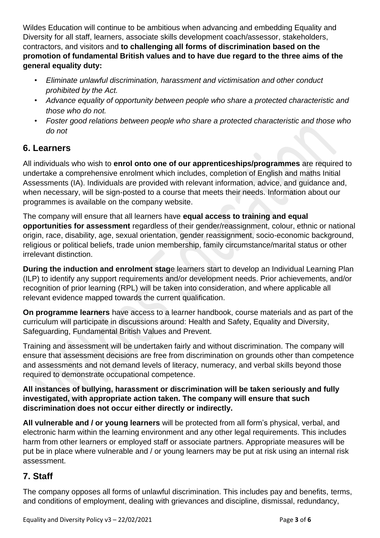Wildes Education will continue to be ambitious when advancing and embedding Equality and Diversity for all staff, learners, associate skills development coach/assessor, stakeholders, contractors, and visitors and **to challenging all forms of discrimination based on the promotion of fundamental British values and to have due regard to the three aims of the general equality duty:** 

- *Eliminate unlawful discrimination, harassment and victimisation and other conduct prohibited by the Act.*
- *Advance equality of opportunity between people who share a protected characteristic and those who do not.*
- *Foster good relations between people who share a protected characteristic and those who do not*

#### **6. Learners**

All individuals who wish to **enrol onto one of our apprenticeships/programmes** are required to undertake a comprehensive enrolment which includes, completion of English and maths Initial Assessments (IA). Individuals are provided with relevant information, advice, and guidance and, when necessary, will be sign-posted to a course that meets their needs. Information about our programmes is available on the company website.

The company will ensure that all learners have **equal access to training and equal opportunities for assessment** regardless of their gender/reassignment, colour, ethnic or national origin, race, disability, age, sexual orientation, gender reassignment, socio-economic background, religious or political beliefs, trade union membership, family circumstance/marital status or other irrelevant distinction.

**During the induction and enrolment stag**e learners start to develop an Individual Learning Plan (ILP) to identify any support requirements and/or development needs. Prior achievements, and/or recognition of prior learning (RPL) will be taken into consideration, and where applicable all relevant evidence mapped towards the current qualification.

**On programme learners** have access to a learner handbook, course materials and as part of the curriculum will participate in discussions around: Health and Safety, Equality and Diversity, Safeguarding, Fundamental British Values and Prevent.

Training and assessment will be undertaken fairly and without discrimination. The company will ensure that assessment decisions are free from discrimination on grounds other than competence and assessments and not demand levels of literacy, numeracy, and verbal skills beyond those required to demonstrate occupational competence.

#### **All instances of bullying, harassment or discrimination will be taken seriously and fully investigated, with appropriate action taken. The company will ensure that such discrimination does not occur either directly or indirectly.**

**All vulnerable and / or young learners** will be protected from all form's physical, verbal, and electronic harm within the learning environment and any other legal requirements. This includes harm from other learners or employed staff or associate partners. Appropriate measures will be put be in place where vulnerable and / or young learners may be put at risk using an internal risk assessment.

#### **7. Staff**

The company opposes all forms of unlawful discrimination. This includes pay and benefits, terms, and conditions of employment, dealing with grievances and discipline, dismissal, redundancy,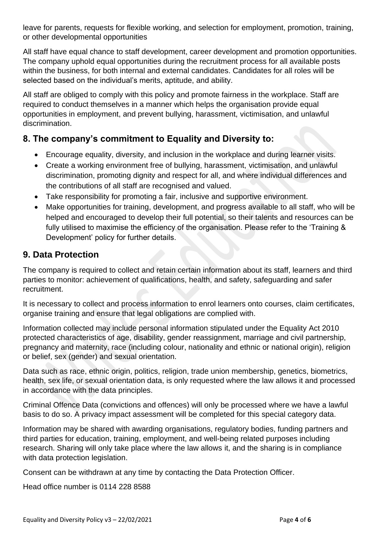leave for parents, requests for flexible working, and selection for employment, promotion, training, or other developmental opportunities

All staff have equal chance to staff development, career development and promotion opportunities. The company uphold equal opportunities during the recruitment process for all available posts within the business, for both internal and external candidates. Candidates for all roles will be selected based on the individual's merits, aptitude, and ability.

All staff are obliged to comply with this policy and promote fairness in the workplace. Staff are required to conduct themselves in a manner which helps the organisation provide equal opportunities in employment, and prevent bullying, harassment, victimisation, and unlawful discrimination.

## **8. The company's commitment to Equality and Diversity to:**

- Encourage equality, diversity, and inclusion in the workplace and during learner visits.
- Create a working environment free of bullying, harassment, victimisation, and unlawful discrimination, promoting dignity and respect for all, and where individual differences and the contributions of all staff are recognised and valued.
- Take responsibility for promoting a fair, inclusive and supportive environment.
- Make opportunities for training, development, and progress available to all staff, who will be helped and encouraged to develop their full potential, so their talents and resources can be fully utilised to maximise the efficiency of the organisation. Please refer to the 'Training & Development' policy for further details.

#### **9. Data Protection**

The company is required to collect and retain certain information about its staff, learners and third parties to monitor: achievement of qualifications, health, and safety, safeguarding and safer recruitment.

It is necessary to collect and process information to enrol learners onto courses, claim certificates, organise training and ensure that legal obligations are complied with.

Information collected may include personal information stipulated under the Equality Act 2010 protected characteristics of age, disability, gender reassignment, marriage and civil partnership, pregnancy and maternity, race (including colour, nationality and ethnic or national origin), religion or belief, sex (gender) and sexual orientation.

Data such as race, ethnic origin, politics, religion, trade union membership, genetics, biometrics, health, sex life, or sexual orientation data, is only requested where the law allows it and processed in accordance with the data principles.

Criminal Offence Data (convictions and offences) will only be processed where we have a lawful basis to do so. A privacy impact assessment will be completed for this special category data.

Information may be shared with awarding organisations, regulatory bodies, funding partners and third parties for education, training, employment, and well-being related purposes including research. Sharing will only take place where the law allows it, and the sharing is in compliance with data protection legislation.

Consent can be withdrawn at any time by contacting the Data Protection Officer.

Head office number is 0114 228 8588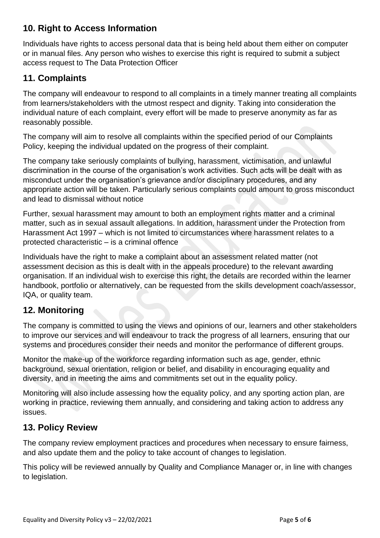## **10. Right to Access Information**

Individuals have rights to access personal data that is being held about them either on computer or in manual files. Any person who wishes to exercise this right is required to submit a subject access request to The Data Protection Officer

#### **11. Complaints**

The company will endeavour to respond to all complaints in a timely manner treating all complaints from learners/stakeholders with the utmost respect and dignity. Taking into consideration the individual nature of each complaint, every effort will be made to preserve anonymity as far as reasonably possible.

The company will aim to resolve all complaints within the specified period of our Complaints Policy, keeping the individual updated on the progress of their complaint.

The company take seriously complaints of bullying, harassment, victimisation, and unlawful discrimination in the course of the organisation's work activities. Such acts will be dealt with as misconduct under the organisation's grievance and/or disciplinary procedures, and any appropriate action will be taken. Particularly serious complaints could amount to gross misconduct and lead to dismissal without notice

Further, sexual harassment may amount to both an employment rights matter and a criminal matter, such as in sexual assault allegations. In addition, harassment under the Protection from Harassment Act 1997 – which is not limited to circumstances where harassment relates to a protected characteristic – is a criminal offence

Individuals have the right to make a complaint about an assessment related matter (not assessment decision as this is dealt with in the appeals procedure) to the relevant awarding organisation. If an individual wish to exercise this right, the details are recorded within the learner handbook, portfolio or alternatively, can be requested from the skills development coach/assessor, IQA, or quality team.

#### **12. Monitoring**

The company is committed to using the views and opinions of our, learners and other stakeholders to improve our services and will endeavour to track the progress of all learners, ensuring that our systems and procedures consider their needs and monitor the performance of different groups.

Monitor the make-up of the workforce regarding information such as age, gender, ethnic background, sexual orientation, religion or belief, and disability in encouraging equality and diversity, and in meeting the aims and commitments set out in the equality policy.

Monitoring will also include assessing how the equality policy, and any sporting action plan, are working in practice, reviewing them annually, and considering and taking action to address any issues.

## **13. Policy Review**

The company review employment practices and procedures when necessary to ensure fairness, and also update them and the policy to take account of changes to legislation.

This policy will be reviewed annually by Quality and Compliance Manager or, in line with changes to legislation.